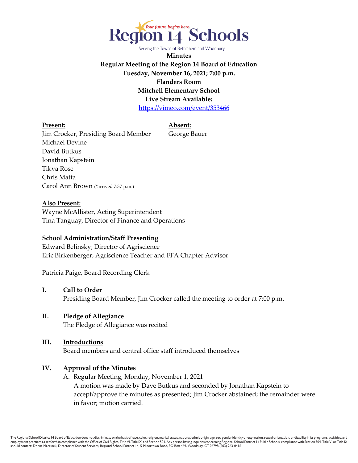

**Minutes Regular Meeting of the Region 14 Board of Education Tuesday, November 16, 2021; 7:00 p.m. Flanders Room Mitchell Elementary School Live Stream Available:** <https://vimeo.com/event/353466>

**Present: Absent:**

Jim Crocker, Presiding Board Member George Bauer Michael Devine David Butkus Jonathan Kapstein Tikva Rose Chris Matta Carol Ann Brown (\*arrived 7:37 p.m.)

#### **Also Present:**

Wayne McAllister, Acting Superintendent Tina Tanguay, Director of Finance and Operations

#### **School Administration/Staff Presenting**

Edward Belinsky; Director of Agriscience Eric Birkenberger; Agriscience Teacher and FFA Chapter Advisor

Patricia Paige, Board Recording Clerk

- **I. Call to Order** Presiding Board Member, Jim Crocker called the meeting to order at 7:00 p.m.
- **II. Pledge of Allegiance** The Pledge of Allegiance was recited
- **III. Introductions** Board members and central office staff introduced themselves

#### **IV. Approval of the Minutes**

A. Regular Meeting, Monday, November 1, 2021 A motion was made by Dave Butkus and seconded by Jonathan Kapstein to accept/approve the minutes as presented; Jim Crocker abstained; the remainder were in favor; motion carried.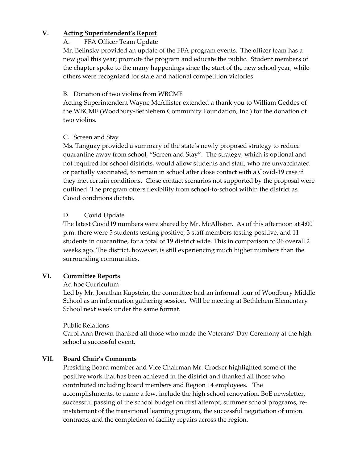## **V. Acting Superintendent's Report**

## A. FFA Officer Team Update

Mr. Belinsky provided an update of the FFA program events. The officer team has a new goal this year; promote the program and educate the public. Student members of the chapter spoke to the many happenings since the start of the new school year, while others were recognized for state and national competition victories.

#### B. Donation of two violins from WBCMF

Acting Superintendent Wayne McAllister extended a thank you to William Geddes of the WBCMF (Woodbury-Bethlehem Community Foundation, Inc.) for the donation of two violins.

## C. Screen and Stay

Ms. Tanguay provided a summary of the state's newly proposed strategy to reduce quarantine away from school, "Screen and Stay". The strategy, which is optional and not required for school districts, would allow students and staff, who are unvaccinated or partially vaccinated, to remain in school after close contact with a Covid-19 case if they met certain conditions. Close contact scenarios not supported by the proposal were outlined. The program offers flexibility from school-to-school within the district as Covid conditions dictate.

## D. Covid Update

The latest Covid19 numbers were shared by Mr. McAllister. As of this afternoon at 4:00 p.m. there were 5 students testing positive, 3 staff members testing positive, and 11 students in quarantine, for a total of 19 district wide. This in comparison to 36 overall 2 weeks ago. The district, however, is still experiencing much higher numbers than the surrounding communities.

## **VI. Committee Reports**

## Ad hoc Curriculum

Led by Mr. Jonathan Kapstein, the committee had an informal tour of Woodbury Middle School as an information gathering session. Will be meeting at Bethlehem Elementary School next week under the same format.

## Public Relations

Carol Ann Brown thanked all those who made the Veterans' Day Ceremony at the high school a successful event.

## **VII. Board Chair's Comments**

Presiding Board member and Vice Chairman Mr. Crocker highlighted some of the positive work that has been achieved in the district and thanked all those who contributed including board members and Region 14 employees. The accomplishments, to name a few, include the high school renovation, BoE newsletter, successful passing of the school budget on first attempt, summer school programs, reinstatement of the transitional learning program, the successful negotiation of union contracts, and the completion of facility repairs across the region.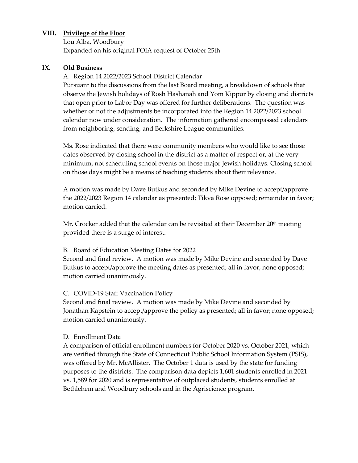#### **VIII. Privilege of the Floor**

Lou Alba, Woodbury Expanded on his original FOIA request of October 25th

#### **IX. Old Business**

A. Region 14 2022/2023 School District Calendar

Pursuant to the discussions from the last Board meeting, a breakdown of schools that observe the Jewish holidays of Rosh Hashanah and Yom Kippur by closing and districts that open prior to Labor Day was offered for further deliberations. The question was whether or not the adjustments be incorporated into the Region 14 2022/2023 school calendar now under consideration. The information gathered encompassed calendars from neighboring, sending, and Berkshire League communities.

Ms. Rose indicated that there were community members who would like to see those dates observed by closing school in the district as a matter of respect or, at the very minimum, not scheduling school events on those major Jewish holidays. Closing school on those days might be a means of teaching students about their relevance.

A motion was made by Dave Butkus and seconded by Mike Devine to accept/approve the 2022/2023 Region 14 calendar as presented; Tikva Rose opposed; remainder in favor; motion carried.

Mr. Crocker added that the calendar can be revisited at their December  $20<sup>th</sup>$  meeting provided there is a surge of interest.

#### B. Board of Education Meeting Dates for 2022

Second and final review. A motion was made by Mike Devine and seconded by Dave Butkus to accept/approve the meeting dates as presented; all in favor; none opposed; motion carried unanimously.

#### C. COVID-19 Staff Vaccination Policy

Second and final review. A motion was made by Mike Devine and seconded by Jonathan Kapstein to accept/approve the policy as presented; all in favor; none opposed; motion carried unanimously.

#### D. Enrollment Data

A comparison of official enrollment numbers for October 2020 vs. October 2021, which are verified through the State of Connecticut Public School Information System (PSIS), was offered by Mr. McAllister. The October 1 data is used by the state for funding purposes to the districts. The comparison data depicts 1,601 students enrolled in 2021 vs. 1,589 for 2020 and is representative of outplaced students, students enrolled at Bethlehem and Woodbury schools and in the Agriscience program.